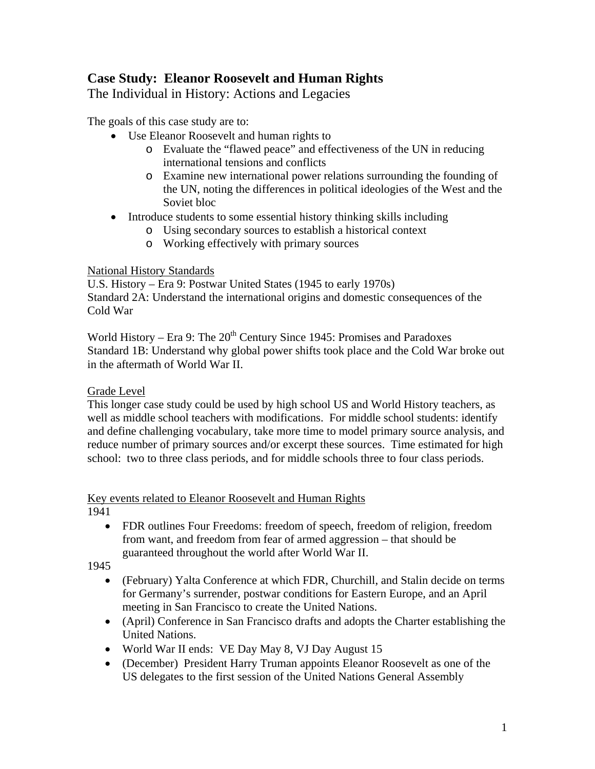# **Case Study: Eleanor Roosevelt and Human Rights**

The Individual in History: Actions and Legacies

The goals of this case study are to:

- Use Eleanor Roosevelt and human rights to
	- o Evaluate the "flawed peace" and effectiveness of the UN in reducing international tensions and conflicts
	- o Examine new international power relations surrounding the founding of the UN, noting the differences in political ideologies of the West and the Soviet bloc
- Introduce students to some essential history thinking skills including
	- o Using secondary sources to establish a historical context
	- o Working effectively with primary sources

#### National History Standards

U.S. History – Era 9: Postwar United States (1945 to early 1970s) Standard 2A: Understand the international origins and domestic consequences of the Cold War

World History – Era 9: The  $20<sup>th</sup>$  Century Since 1945: Promises and Paradoxes Standard 1B: Understand why global power shifts took place and the Cold War broke out in the aftermath of World War II.

## Grade Level

This longer case study could be used by high school US and World History teachers, as well as middle school teachers with modifications. For middle school students: identify and define challenging vocabulary, take more time to model primary source analysis, and reduce number of primary sources and/or excerpt these sources. Time estimated for high school: two to three class periods, and for middle schools three to four class periods.

#### Key events related to Eleanor Roosevelt and Human Rights

1941

• FDR outlines Four Freedoms: freedom of speech, freedom of religion, freedom from want, and freedom from fear of armed aggression – that should be guaranteed throughout the world after World War II.

1945

- (February) Yalta Conference at which FDR, Churchill, and Stalin decide on terms for Germany's surrender, postwar conditions for Eastern Europe, and an April meeting in San Francisco to create the United Nations.
- (April) Conference in San Francisco drafts and adopts the Charter establishing the United Nations.
- World War II ends: VE Day May 8, VJ Day August 15
- (December) President Harry Truman appoints Eleanor Roosevelt as one of the US delegates to the first session of the United Nations General Assembly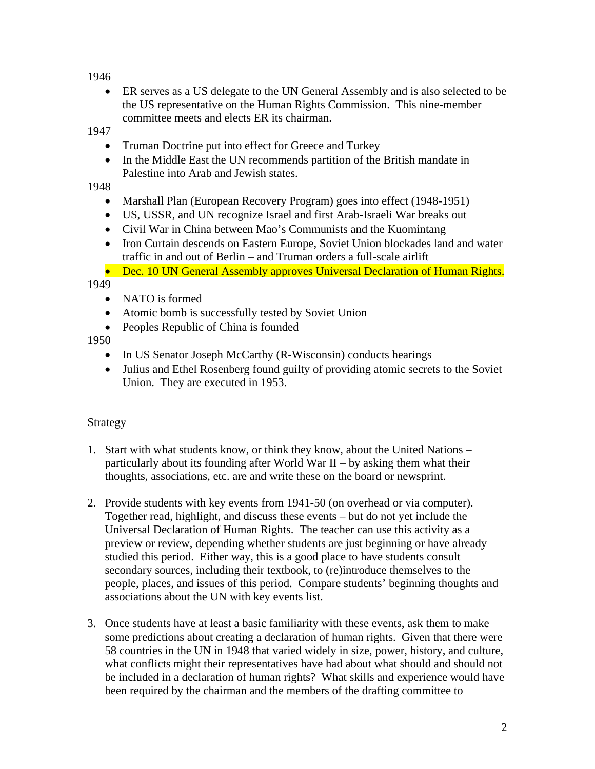1946

• ER serves as a US delegate to the UN General Assembly and is also selected to be the US representative on the Human Rights Commission. This nine-member committee meets and elects ER its chairman.

1947

- Truman Doctrine put into effect for Greece and Turkey
- In the Middle East the UN recommends partition of the British mandate in Palestine into Arab and Jewish states.

1948

- Marshall Plan (European Recovery Program) goes into effect (1948-1951)
- US, USSR, and UN recognize Israel and first Arab-Israeli War breaks out
- Civil War in China between Mao's Communists and the Kuomintang
- Iron Curtain descends on Eastern Europe, Soviet Union blockades land and water traffic in and out of Berlin – and Truman orders a full-scale airlift

• Dec. 10 UN General Assembly approves Universal Declaration of Human Rights. 1949

- NATO is formed
- Atomic bomb is successfully tested by Soviet Union
- Peoples Republic of China is founded

1950

- In US Senator Joseph McCarthy (R-Wisconsin) conducts hearings
- Julius and Ethel Rosenberg found guilty of providing atomic secrets to the Soviet Union. They are executed in 1953.

## Strategy

- 1. Start with what students know, or think they know, about the United Nations particularly about its founding after World War II – by asking them what their thoughts, associations, etc. are and write these on the board or newsprint.
- 2. Provide students with key events from 1941-50 (on overhead or via computer). Together read, highlight, and discuss these events – but do not yet include the Universal Declaration of Human Rights. The teacher can use this activity as a preview or review, depending whether students are just beginning or have already studied this period. Either way, this is a good place to have students consult secondary sources, including their textbook, to (re)introduce themselves to the people, places, and issues of this period. Compare students' beginning thoughts and associations about the UN with key events list.
- 3. Once students have at least a basic familiarity with these events, ask them to make some predictions about creating a declaration of human rights. Given that there were 58 countries in the UN in 1948 that varied widely in size, power, history, and culture, what conflicts might their representatives have had about what should and should not be included in a declaration of human rights? What skills and experience would have been required by the chairman and the members of the drafting committee to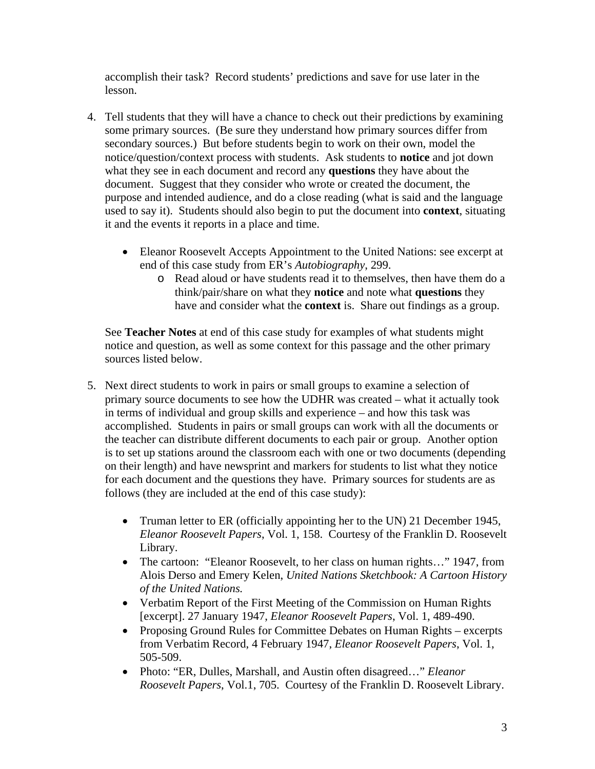accomplish their task? Record students' predictions and save for use later in the lesson.

- 4. Tell students that they will have a chance to check out their predictions by examining some primary sources. (Be sure they understand how primary sources differ from secondary sources.) But before students begin to work on their own, model the notice/question/context process with students. Ask students to **notice** and jot down what they see in each document and record any **questions** they have about the document. Suggest that they consider who wrote or created the document, the purpose and intended audience, and do a close reading (what is said and the language used to say it). Students should also begin to put the document into **context**, situating it and the events it reports in a place and time.
	- Eleanor Roosevelt Accepts Appointment to the United Nations: see excerpt at end of this case study from ER's *Autobiography*, 299.
		- o Read aloud or have students read it to themselves, then have them do a think/pair/share on what they **notice** and note what **questions** they have and consider what the **context** is. Share out findings as a group.

See **Teacher Notes** at end of this case study for examples of what students might notice and question, as well as some context for this passage and the other primary sources listed below.

- 5. Next direct students to work in pairs or small groups to examine a selection of primary source documents to see how the UDHR was created – what it actually took in terms of individual and group skills and experience – and how this task was accomplished. Students in pairs or small groups can work with all the documents or the teacher can distribute different documents to each pair or group. Another option is to set up stations around the classroom each with one or two documents (depending on their length) and have newsprint and markers for students to list what they notice for each document and the questions they have. Primary sources for students are as follows (they are included at the end of this case study):
	- Truman letter to ER (officially appointing her to the UN) 21 December 1945, *Eleanor Roosevelt Papers*, Vol. 1, 158. Courtesy of the Franklin D. Roosevelt Library.
	- The cartoon: "Eleanor Roosevelt, to her class on human rights..." 1947, from Alois Derso and Emery Kelen, *United Nations Sketchbook: A Cartoon History of the United Nations.*
	- Verbatim Report of the First Meeting of the Commission on Human Rights [excerpt]. 27 January 1947, *Eleanor Roosevelt Papers*, Vol. 1, 489-490.
	- Proposing Ground Rules for Committee Debates on Human Rights excerpts from Verbatim Record, 4 February 1947, *Eleanor Roosevelt Papers*, Vol. 1, 505-509.
	- Photo: "ER, Dulles, Marshall, and Austin often disagreed…" *Eleanor Roosevelt Papers*, Vol.1, 705. Courtesy of the Franklin D. Roosevelt Library.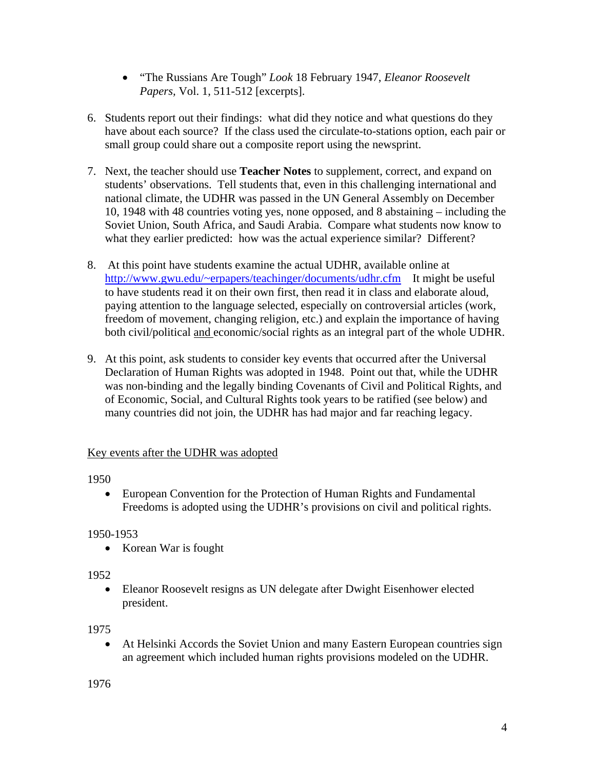- "The Russians Are Tough" *Look* 18 February 1947, *Eleanor Roosevelt Papers,* Vol. 1, 511-512 [excerpts].
- 6. Students report out their findings: what did they notice and what questions do they have about each source? If the class used the circulate-to-stations option, each pair or small group could share out a composite report using the newsprint.
- 7. Next, the teacher should use **Teacher Notes** to supplement, correct, and expand on students' observations. Tell students that, even in this challenging international and national climate, the UDHR was passed in the UN General Assembly on December 10, 1948 with 48 countries voting yes, none opposed, and 8 abstaining – including the Soviet Union, South Africa, and Saudi Arabia. Compare what students now know to what they earlier predicted: how was the actual experience similar? Different?
- 8. At this point have students examine the actual UDHR, available online at http://www.gwu.edu/~erpapers/teachinger/documents/udhr.cfm It might be useful to have students read it on their own first, then read it in class and elaborate aloud, paying attention to the language selected, especially on controversial articles (work, freedom of movement, changing religion, etc.) and explain the importance of having both civil/political and economic/social rights as an integral part of the whole UDHR.
- 9. At this point, ask students to consider key events that occurred after the Universal Declaration of Human Rights was adopted in 1948. Point out that, while the UDHR was non-binding and the legally binding Covenants of Civil and Political Rights, and of Economic, Social, and Cultural Rights took years to be ratified (see below) and many countries did not join, the UDHR has had major and far reaching legacy.

## Key events after the UDHR was adopted

## 1950

• European Convention for the Protection of Human Rights and Fundamental Freedoms is adopted using the UDHR's provisions on civil and political rights.

## 1950-1953

• Korean War is fought

# 1952

• Eleanor Roosevelt resigns as UN delegate after Dwight Eisenhower elected president.

## 1975

• At Helsinki Accords the Soviet Union and many Eastern European countries sign an agreement which included human rights provisions modeled on the UDHR.

1976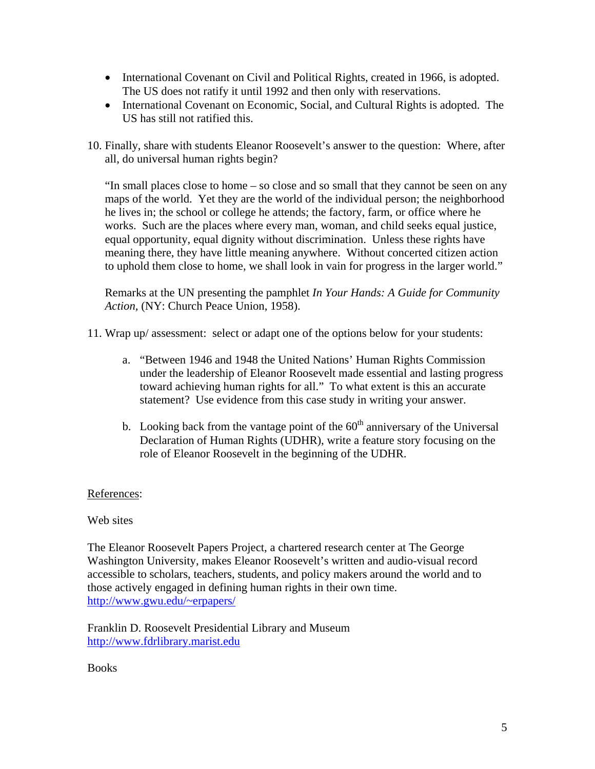- International Covenant on Civil and Political Rights, created in 1966, is adopted. The US does not ratify it until 1992 and then only with reservations.
- International Covenant on Economic, Social, and Cultural Rights is adopted. The US has still not ratified this.
- 10. Finally, share with students Eleanor Roosevelt's answer to the question: Where, after all, do universal human rights begin?

"In small places close to home – so close and so small that they cannot be seen on any maps of the world. Yet they are the world of the individual person; the neighborhood he lives in; the school or college he attends; the factory, farm, or office where he works. Such are the places where every man, woman, and child seeks equal justice, equal opportunity, equal dignity without discrimination. Unless these rights have meaning there, they have little meaning anywhere. Without concerted citizen action to uphold them close to home, we shall look in vain for progress in the larger world."

Remarks at the UN presenting the pamphlet *In Your Hands: A Guide for Community Action,* (NY: Church Peace Union, 1958).

- 11. Wrap up/ assessment: select or adapt one of the options below for your students:
	- a. "Between 1946 and 1948 the United Nations' Human Rights Commission under the leadership of Eleanor Roosevelt made essential and lasting progress toward achieving human rights for all." To what extent is this an accurate statement? Use evidence from this case study in writing your answer.
	- b. Looking back from the vantage point of the  $60<sup>th</sup>$  anniversary of the Universal Declaration of Human Rights (UDHR), write a feature story focusing on the role of Eleanor Roosevelt in the beginning of the UDHR.

## References:

Web sites

The Eleanor Roosevelt Papers Project, a chartered research center at The George Washington University, makes Eleanor Roosevelt's written and audio-visual record accessible to scholars, teachers, students, and policy makers around the world and to those actively engaged in defining human rights in their own time. http://www.gwu.edu/~erpapers/

Franklin D. Roosevelt Presidential Library and Museum http://www.fdrlibrary.marist.edu

Books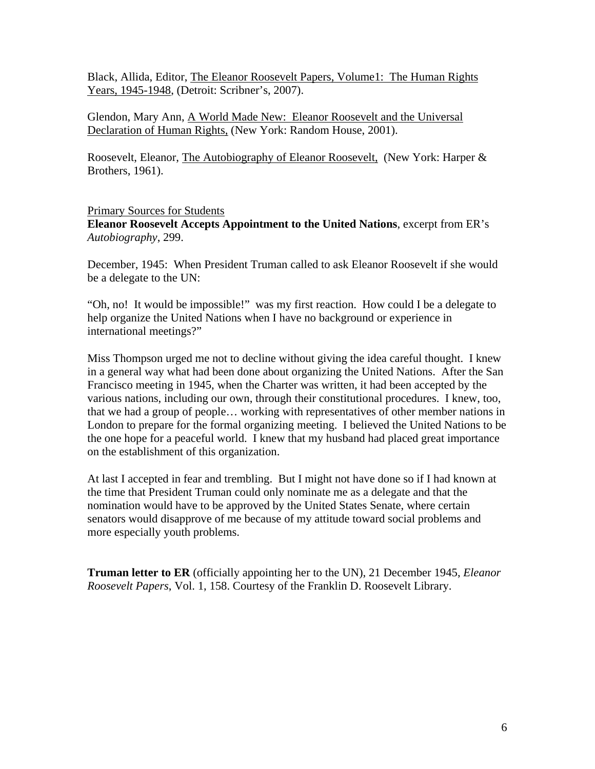Black, Allida, Editor, The Eleanor Roosevelt Papers, Volume1: The Human Rights Years, 1945-1948, (Detroit: Scribner's, 2007).

Glendon, Mary Ann, A World Made New: Eleanor Roosevelt and the Universal Declaration of Human Rights, (New York: Random House, 2001).

Roosevelt, Eleanor, The Autobiography of Eleanor Roosevelt, (New York: Harper & Brothers, 1961).

Primary Sources for Students **Eleanor Roosevelt Accepts Appointment to the United Nations**, excerpt from ER's *Autobiography*, 299.

December, 1945: When President Truman called to ask Eleanor Roosevelt if she would be a delegate to the UN:

"Oh, no! It would be impossible!" was my first reaction. How could I be a delegate to help organize the United Nations when I have no background or experience in international meetings?"

Miss Thompson urged me not to decline without giving the idea careful thought. I knew in a general way what had been done about organizing the United Nations. After the San Francisco meeting in 1945, when the Charter was written, it had been accepted by the various nations, including our own, through their constitutional procedures. I knew, too, that we had a group of people… working with representatives of other member nations in London to prepare for the formal organizing meeting. I believed the United Nations to be the one hope for a peaceful world. I knew that my husband had placed great importance on the establishment of this organization.

At last I accepted in fear and trembling. But I might not have done so if I had known at the time that President Truman could only nominate me as a delegate and that the nomination would have to be approved by the United States Senate, where certain senators would disapprove of me because of my attitude toward social problems and more especially youth problems.

**Truman letter to ER** (officially appointing her to the UN), 21 December 1945, *Eleanor Roosevelt Papers*, Vol. 1, 158. Courtesy of the Franklin D. Roosevelt Library.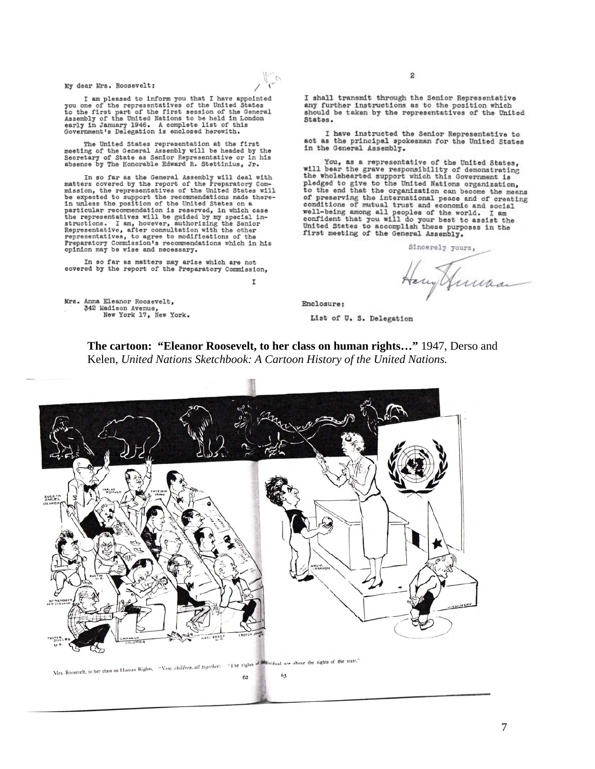My dear Mrs. Roosevelt:



I am pleased to inform you that I have appointed<br>you one of the representatives of the United States<br>to the first part of the first session of the General<br>Assembly of the United Nations to be held in London<br>early in Januar

The United States representation at the first meeting of the General Assembly will be headed by the Secretary of State as Senior Representative or in his absence by The Honorable Edward R. Stettinius, Jr.

In so far as the General Assembly will deal with<br>matters covered by the report of the Preparatory Com-<br>mission, the representatives of the United States will<br>be expected to support the recommendations made there-<br>in unless parameter recommensuration is reasonably my special in-<br>structions. I am, however, authorizing the Senior<br>Representatives will be guided by my special in-<br>Representatives, after consultation with the other<br>Preparatory Comm opinion may be wise and necessary.

In so far as matters may arise which are not covered by the report of the Preparatory Commission,

Mrs. Anna Eleanor Roosevelt, 342 Madison Avenue,<br>New York 17, New York. I shall transmit through the Senior Representative any further instructions as to the position which should be taken by the representatives of the United States.

I have instructed the Senior Representative to act as the principal spokesman for the United States in the General Assembly.

You, as a representative of the United States,<br>will bear the grave responsibility of demonstrating<br>the wholehearted support which this Government is pledged to give to the United Nations organization, to the end that the organization can become the means to the end that the organization can become the means<br>of preserving the international peace and of creating<br>conditions of mutual trust and economic and social<br>well-being among all peoples of the world. I am<br>confident that

Sincerely yours,

Hany Herreau

List of U.S. Delegation

Enclosure:

**The cartoon: "Eleanor Roosevelt, to her class on human rights…"** 1947, Derso and Kelen, *United Nations Sketchbook: A Cartoon History of the United Nations.*



 $\mathbf{z}$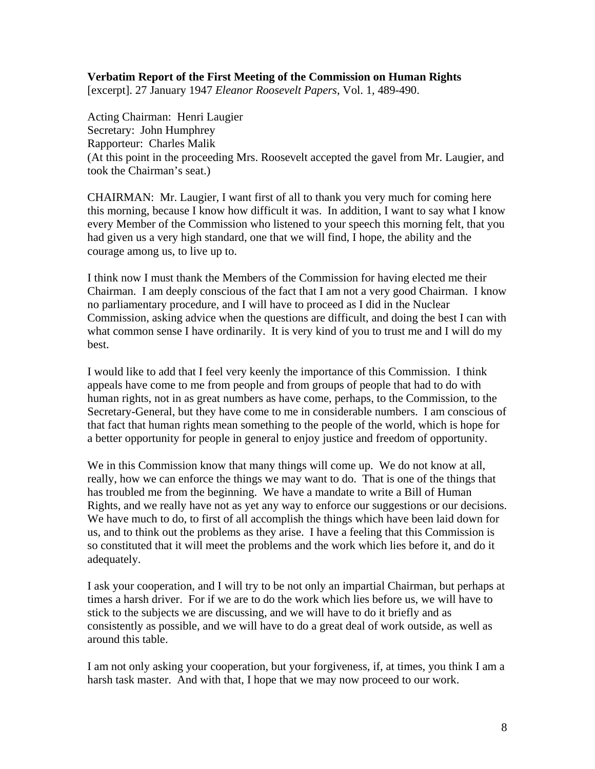#### **Verbatim Report of the First Meeting of the Commission on Human Rights**

[excerpt]. 27 January 1947 *Eleanor Roosevelt Papers*, Vol. 1, 489-490.

Acting Chairman: Henri Laugier Secretary: John Humphrey Rapporteur: Charles Malik (At this point in the proceeding Mrs. Roosevelt accepted the gavel from Mr. Laugier, and took the Chairman's seat.)

CHAIRMAN: Mr. Laugier, I want first of all to thank you very much for coming here this morning, because I know how difficult it was. In addition, I want to say what I know every Member of the Commission who listened to your speech this morning felt, that you had given us a very high standard, one that we will find, I hope, the ability and the courage among us, to live up to.

I think now I must thank the Members of the Commission for having elected me their Chairman. I am deeply conscious of the fact that I am not a very good Chairman. I know no parliamentary procedure, and I will have to proceed as I did in the Nuclear Commission, asking advice when the questions are difficult, and doing the best I can with what common sense I have ordinarily. It is very kind of you to trust me and I will do my best.

I would like to add that I feel very keenly the importance of this Commission. I think appeals have come to me from people and from groups of people that had to do with human rights, not in as great numbers as have come, perhaps, to the Commission, to the Secretary-General, but they have come to me in considerable numbers. I am conscious of that fact that human rights mean something to the people of the world, which is hope for a better opportunity for people in general to enjoy justice and freedom of opportunity.

We in this Commission know that many things will come up. We do not know at all, really, how we can enforce the things we may want to do. That is one of the things that has troubled me from the beginning. We have a mandate to write a Bill of Human Rights, and we really have not as yet any way to enforce our suggestions or our decisions. We have much to do, to first of all accomplish the things which have been laid down for us, and to think out the problems as they arise. I have a feeling that this Commission is so constituted that it will meet the problems and the work which lies before it, and do it adequately.

I ask your cooperation, and I will try to be not only an impartial Chairman, but perhaps at times a harsh driver. For if we are to do the work which lies before us, we will have to stick to the subjects we are discussing, and we will have to do it briefly and as consistently as possible, and we will have to do a great deal of work outside, as well as around this table.

I am not only asking your cooperation, but your forgiveness, if, at times, you think I am a harsh task master. And with that, I hope that we may now proceed to our work.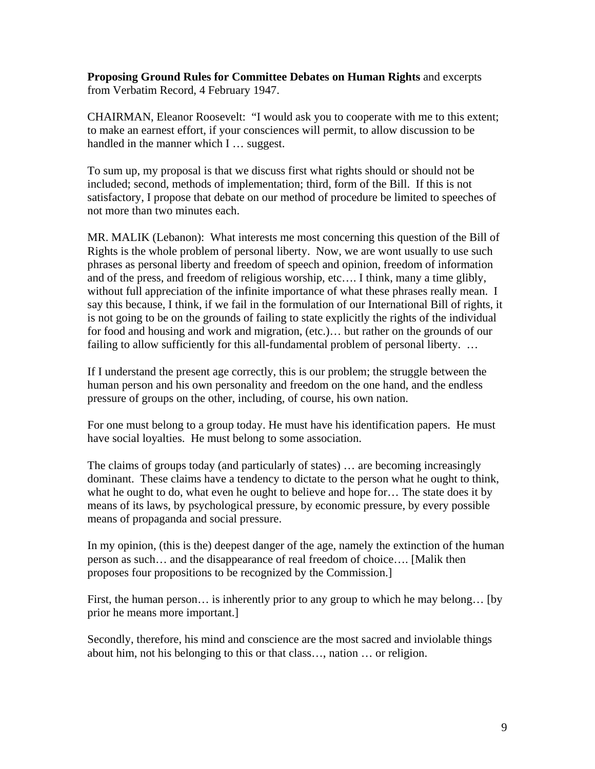**Proposing Ground Rules for Committee Debates on Human Rights** and excerpts from Verbatim Record, 4 February 1947.

CHAIRMAN, Eleanor Roosevelt: "I would ask you to cooperate with me to this extent; to make an earnest effort, if your consciences will permit, to allow discussion to be handled in the manner which I … suggest.

To sum up, my proposal is that we discuss first what rights should or should not be included; second, methods of implementation; third, form of the Bill. If this is not satisfactory, I propose that debate on our method of procedure be limited to speeches of not more than two minutes each.

MR. MALIK (Lebanon): What interests me most concerning this question of the Bill of Rights is the whole problem of personal liberty. Now, we are wont usually to use such phrases as personal liberty and freedom of speech and opinion, freedom of information and of the press, and freedom of religious worship, etc…. I think, many a time glibly, without full appreciation of the infinite importance of what these phrases really mean. I say this because, I think, if we fail in the formulation of our International Bill of rights, it is not going to be on the grounds of failing to state explicitly the rights of the individual for food and housing and work and migration, (etc.)… but rather on the grounds of our failing to allow sufficiently for this all-fundamental problem of personal liberty. ...

If I understand the present age correctly, this is our problem; the struggle between the human person and his own personality and freedom on the one hand, and the endless pressure of groups on the other, including, of course, his own nation.

For one must belong to a group today. He must have his identification papers. He must have social loyalties. He must belong to some association.

The claims of groups today (and particularly of states) … are becoming increasingly dominant. These claims have a tendency to dictate to the person what he ought to think, what he ought to do, what even he ought to believe and hope for… The state does it by means of its laws, by psychological pressure, by economic pressure, by every possible means of propaganda and social pressure.

In my opinion, (this is the) deepest danger of the age, namely the extinction of the human person as such… and the disappearance of real freedom of choice…. [Malik then proposes four propositions to be recognized by the Commission.]

First, the human person… is inherently prior to any group to which he may belong… [by prior he means more important.]

Secondly, therefore, his mind and conscience are the most sacred and inviolable things about him, not his belonging to this or that class…, nation … or religion.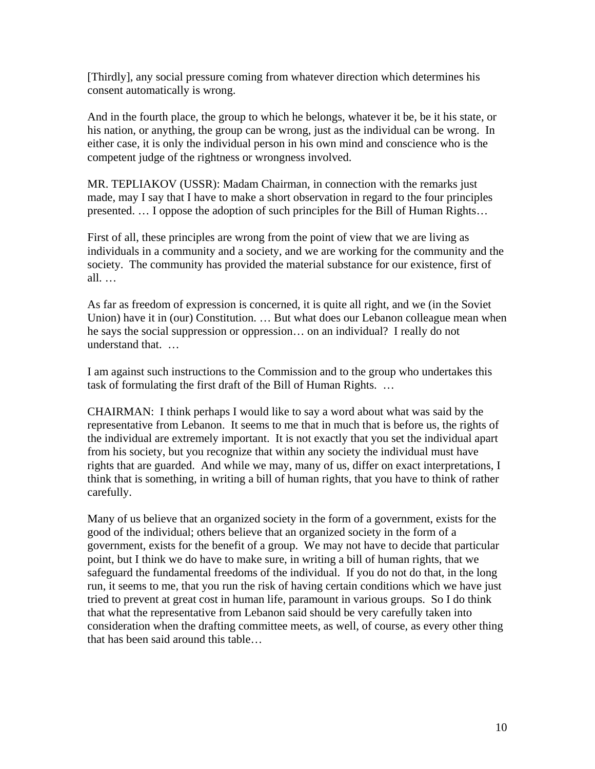[Thirdly], any social pressure coming from whatever direction which determines his consent automatically is wrong.

And in the fourth place, the group to which he belongs, whatever it be, be it his state, or his nation, or anything, the group can be wrong, just as the individual can be wrong. In either case, it is only the individual person in his own mind and conscience who is the competent judge of the rightness or wrongness involved.

MR. TEPLIAKOV (USSR): Madam Chairman, in connection with the remarks just made, may I say that I have to make a short observation in regard to the four principles presented. … I oppose the adoption of such principles for the Bill of Human Rights…

First of all, these principles are wrong from the point of view that we are living as individuals in a community and a society, and we are working for the community and the society. The community has provided the material substance for our existence, first of all. …

As far as freedom of expression is concerned, it is quite all right, and we (in the Soviet Union) have it in (our) Constitution. … But what does our Lebanon colleague mean when he says the social suppression or oppression… on an individual? I really do not understand that. …

I am against such instructions to the Commission and to the group who undertakes this task of formulating the first draft of the Bill of Human Rights. …

CHAIRMAN: I think perhaps I would like to say a word about what was said by the representative from Lebanon. It seems to me that in much that is before us, the rights of the individual are extremely important. It is not exactly that you set the individual apart from his society, but you recognize that within any society the individual must have rights that are guarded. And while we may, many of us, differ on exact interpretations, I think that is something, in writing a bill of human rights, that you have to think of rather carefully.

Many of us believe that an organized society in the form of a government, exists for the good of the individual; others believe that an organized society in the form of a government, exists for the benefit of a group. We may not have to decide that particular point, but I think we do have to make sure, in writing a bill of human rights, that we safeguard the fundamental freedoms of the individual. If you do not do that, in the long run, it seems to me, that you run the risk of having certain conditions which we have just tried to prevent at great cost in human life, paramount in various groups. So I do think that what the representative from Lebanon said should be very carefully taken into consideration when the drafting committee meets, as well, of course, as every other thing that has been said around this table…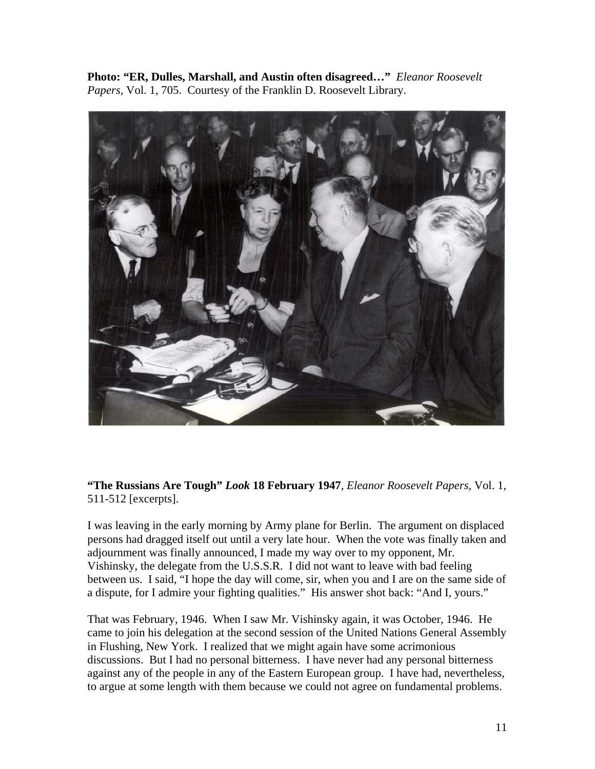**Photo: "ER, Dulles, Marshall, and Austin often disagreed…"** *Eleanor Roosevelt Papers*, Vol. 1, 705. Courtesy of the Franklin D. Roosevelt Library.



**"The Russians Are Tough"** *Look* **18 February 1947**, *Eleanor Roosevelt Papers,* Vol. 1, 511-512 [excerpts].

I was leaving in the early morning by Army plane for Berlin. The argument on displaced persons had dragged itself out until a very late hour. When the vote was finally taken and adjournment was finally announced, I made my way over to my opponent, Mr. Vishinsky, the delegate from the U.S.S.R. I did not want to leave with bad feeling between us. I said, "I hope the day will come, sir, when you and I are on the same side of a dispute, for I admire your fighting qualities." His answer shot back: "And I, yours."

That was February, 1946. When I saw Mr. Vishinsky again, it was October, 1946. He came to join his delegation at the second session of the United Nations General Assembly in Flushing, New York. I realized that we might again have some acrimonious discussions. But I had no personal bitterness. I have never had any personal bitterness against any of the people in any of the Eastern European group. I have had, nevertheless, to argue at some length with them because we could not agree on fundamental problems.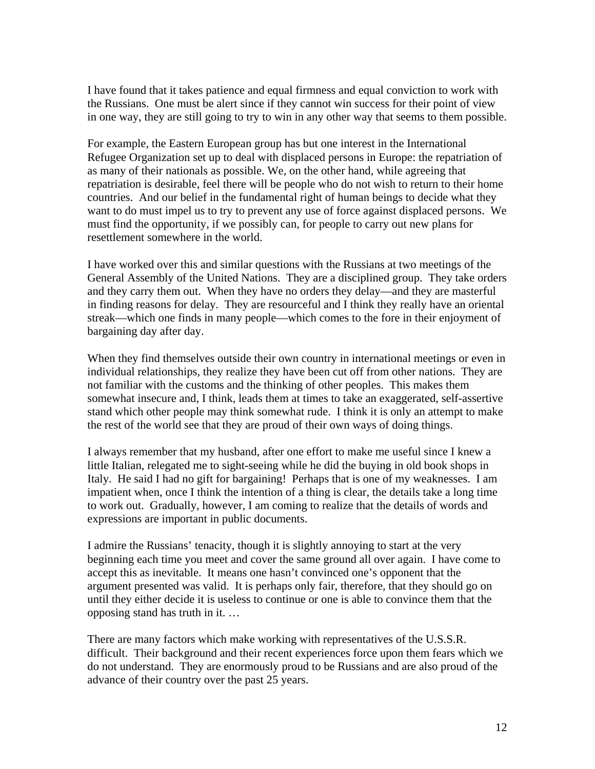I have found that it takes patience and equal firmness and equal conviction to work with the Russians. One must be alert since if they cannot win success for their point of view in one way, they are still going to try to win in any other way that seems to them possible.

For example, the Eastern European group has but one interest in the International Refugee Organization set up to deal with displaced persons in Europe: the repatriation of as many of their nationals as possible. We, on the other hand, while agreeing that repatriation is desirable, feel there will be people who do not wish to return to their home countries. And our belief in the fundamental right of human beings to decide what they want to do must impel us to try to prevent any use of force against displaced persons. We must find the opportunity, if we possibly can, for people to carry out new plans for resettlement somewhere in the world.

I have worked over this and similar questions with the Russians at two meetings of the General Assembly of the United Nations. They are a disciplined group. They take orders and they carry them out. When they have no orders they delay—and they are masterful in finding reasons for delay. They are resourceful and I think they really have an oriental streak—which one finds in many people—which comes to the fore in their enjoyment of bargaining day after day.

When they find themselves outside their own country in international meetings or even in individual relationships, they realize they have been cut off from other nations. They are not familiar with the customs and the thinking of other peoples. This makes them somewhat insecure and, I think, leads them at times to take an exaggerated, self-assertive stand which other people may think somewhat rude. I think it is only an attempt to make the rest of the world see that they are proud of their own ways of doing things.

I always remember that my husband, after one effort to make me useful since I knew a little Italian, relegated me to sight-seeing while he did the buying in old book shops in Italy. He said I had no gift for bargaining! Perhaps that is one of my weaknesses. I am impatient when, once I think the intention of a thing is clear, the details take a long time to work out. Gradually, however, I am coming to realize that the details of words and expressions are important in public documents.

I admire the Russians' tenacity, though it is slightly annoying to start at the very beginning each time you meet and cover the same ground all over again. I have come to accept this as inevitable. It means one hasn't convinced one's opponent that the argument presented was valid. It is perhaps only fair, therefore, that they should go on until they either decide it is useless to continue or one is able to convince them that the opposing stand has truth in it. …

There are many factors which make working with representatives of the U.S.S.R. difficult. Their background and their recent experiences force upon them fears which we do not understand. They are enormously proud to be Russians and are also proud of the advance of their country over the past 25 years.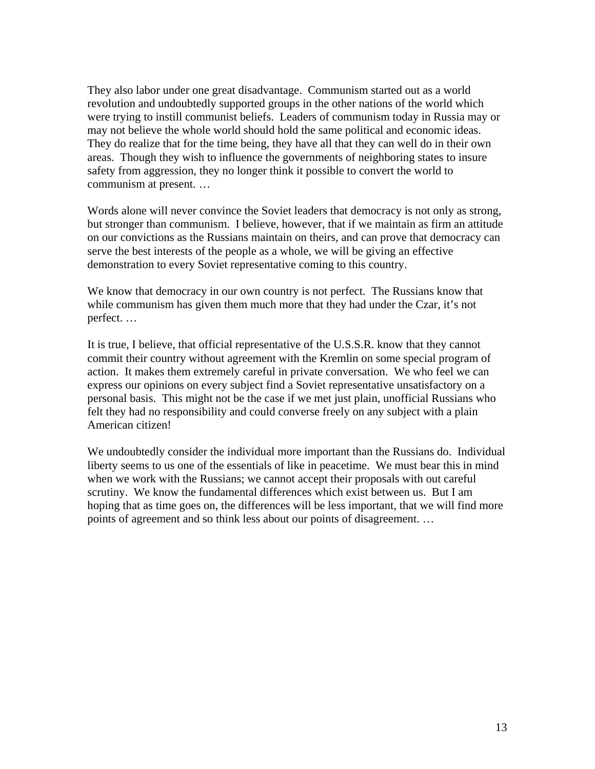They also labor under one great disadvantage. Communism started out as a world revolution and undoubtedly supported groups in the other nations of the world which were trying to instill communist beliefs. Leaders of communism today in Russia may or may not believe the whole world should hold the same political and economic ideas. They do realize that for the time being, they have all that they can well do in their own areas. Though they wish to influence the governments of neighboring states to insure safety from aggression, they no longer think it possible to convert the world to communism at present. …

Words alone will never convince the Soviet leaders that democracy is not only as strong, but stronger than communism. I believe, however, that if we maintain as firm an attitude on our convictions as the Russians maintain on theirs, and can prove that democracy can serve the best interests of the people as a whole, we will be giving an effective demonstration to every Soviet representative coming to this country.

We know that democracy in our own country is not perfect. The Russians know that while communism has given them much more that they had under the Czar, it's not perfect. …

It is true, I believe, that official representative of the U.S.S.R. know that they cannot commit their country without agreement with the Kremlin on some special program of action. It makes them extremely careful in private conversation. We who feel we can express our opinions on every subject find a Soviet representative unsatisfactory on a personal basis. This might not be the case if we met just plain, unofficial Russians who felt they had no responsibility and could converse freely on any subject with a plain American citizen!

We undoubtedly consider the individual more important than the Russians do. Individual liberty seems to us one of the essentials of like in peacetime. We must bear this in mind when we work with the Russians; we cannot accept their proposals with out careful scrutiny. We know the fundamental differences which exist between us. But I am hoping that as time goes on, the differences will be less important, that we will find more points of agreement and so think less about our points of disagreement. …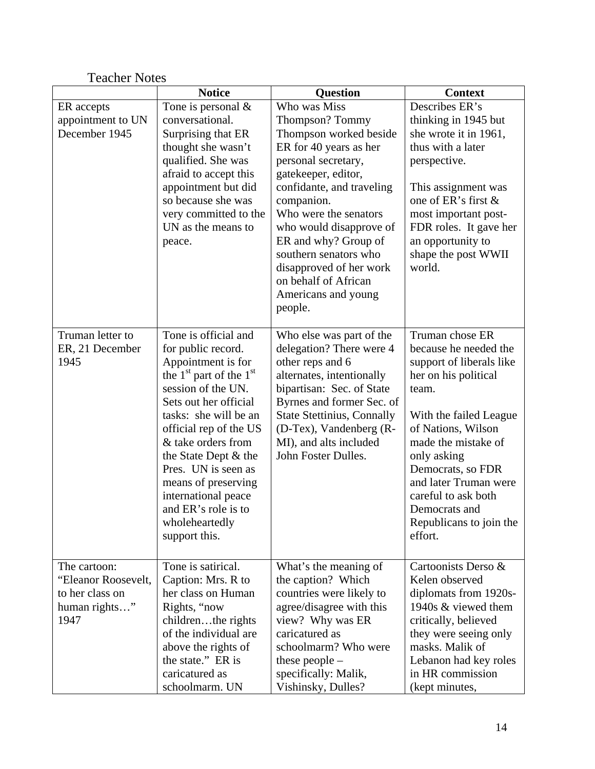#### **Notice Question Context**  ER accepts appointment to UN December 1945 Tone is personal & conversational. Surprising that ER thought she wasn't qualified. She was afraid to accept this appointment but did so because she was very committed to the UN as the means to peace. Who was Miss Thompson? Tommy Thompson worked beside ER for 40 years as her personal secretary, gatekeeper, editor, confidante, and traveling companion. Who were the senators who would disapprove of ER and why? Group of southern senators who disapproved of her work on behalf of African Americans and young people. Describes ER's thinking in 1945 but she wrote it in 1961, thus with a later perspective. This assignment was one of ER's first & most important post-FDR roles. It gave her an opportunity to shape the post WWII world. Truman letter to ER, 21 December 1945 Tone is official and for public record. Appointment is for the  $1<sup>st</sup>$  part of the  $1<sup>st</sup>$ session of the UN. Sets out her official tasks: she will be an official rep of the US & take orders from the State Dept & the Pres. UN is seen as means of preserving international peace and ER's role is to wholeheartedly support this. Who else was part of the delegation? There were 4 other reps and 6 alternates, intentionally bipartisan: Sec. of State Byrnes and former Sec. of State Stettinius, Connally (D-Tex), Vandenberg (R-MI), and alts included John Foster Dulles. Truman chose ER because he needed the support of liberals like her on his political team. With the failed League of Nations, Wilson made the mistake of only asking Democrats, so FDR and later Truman were careful to ask both Democrats and Republicans to join the effort. The cartoon: "Eleanor Roosevelt, to her class on human rights…" 1947 Tone is satirical. Caption: Mrs. R to her class on Human Rights, "now children…the rights of the individual are above the rights of the state." ER is caricatured as schoolmarm. UN What's the meaning of the caption? Which countries were likely to agree/disagree with this view? Why was ER caricatured as schoolmarm? Who were these people – specifically: Malik, Vishinsky, Dulles? Cartoonists Derso & Kelen observed diplomats from 1920s-1940s & viewed them critically, believed they were seeing only masks. Malik of Lebanon had key roles in HR commission (kept minutes,

# Teacher Notes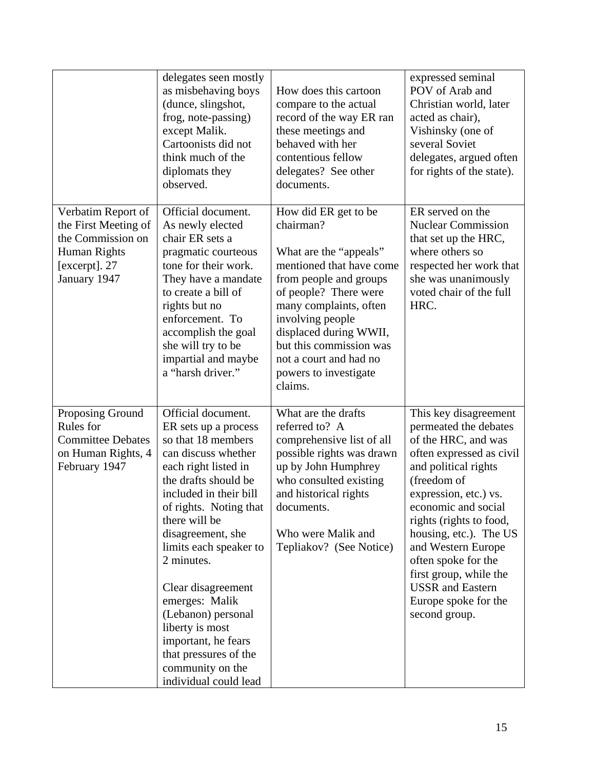|                                                                                                                  | delegates seen mostly<br>as misbehaving boys<br>(dunce, slingshot,<br>frog, note-passing)<br>except Malik.<br>Cartoonists did not<br>think much of the<br>diplomats they<br>observed.                                                                                                                                                                                                                                                                   | How does this cartoon<br>compare to the actual<br>record of the way ER ran<br>these meetings and<br>behaved with her<br>contentious fellow<br>delegates? See other<br>documents.                                                                                                                            | expressed seminal<br>POV of Arab and<br>Christian world, later<br>acted as chair),<br>Vishinsky (one of<br>several Soviet<br>delegates, argued often<br>for rights of the state).                                                                                                                                                                                                        |
|------------------------------------------------------------------------------------------------------------------|---------------------------------------------------------------------------------------------------------------------------------------------------------------------------------------------------------------------------------------------------------------------------------------------------------------------------------------------------------------------------------------------------------------------------------------------------------|-------------------------------------------------------------------------------------------------------------------------------------------------------------------------------------------------------------------------------------------------------------------------------------------------------------|------------------------------------------------------------------------------------------------------------------------------------------------------------------------------------------------------------------------------------------------------------------------------------------------------------------------------------------------------------------------------------------|
| Verbatim Report of<br>the First Meeting of<br>the Commission on<br>Human Rights<br>[excerpt]. 27<br>January 1947 | Official document.<br>As newly elected<br>chair ER sets a<br>pragmatic courteous<br>tone for their work.<br>They have a mandate<br>to create a bill of<br>rights but no<br>enforcement. To<br>accomplish the goal<br>she will try to be<br>impartial and maybe<br>a "harsh driver."                                                                                                                                                                     | How did ER get to be<br>chairman?<br>What are the "appeals"<br>mentioned that have come<br>from people and groups<br>of people? There were<br>many complaints, often<br>involving people<br>displaced during WWII,<br>but this commission was<br>not a court and had no<br>powers to investigate<br>claims. | ER served on the<br><b>Nuclear Commission</b><br>that set up the HRC,<br>where others so<br>respected her work that<br>she was unanimously<br>voted chair of the full<br>HRC.                                                                                                                                                                                                            |
| Proposing Ground<br>Rules for<br><b>Committee Debates</b><br>on Human Rights, 4<br>February 1947                 | Official document.<br>ER sets up a process<br>so that 18 members<br>can discuss whether<br>each right listed in<br>the drafts should be<br>included in their bill<br>of rights. Noting that<br>there will be<br>disagreement, she<br>limits each speaker to<br>2 minutes.<br>Clear disagreement<br>emerges: Malik<br>(Lebanon) personal<br>liberty is most<br>important, he fears<br>that pressures of the<br>community on the<br>individual could lead | What are the drafts<br>referred to? A<br>comprehensive list of all<br>possible rights was drawn<br>up by John Humphrey<br>who consulted existing<br>and historical rights<br>documents.<br>Who were Malik and<br>Tepliakov? (See Notice)                                                                    | This key disagreement<br>permeated the debates<br>of the HRC, and was<br>often expressed as civil<br>and political rights<br>(freedom of<br>expression, etc.) vs.<br>economic and social<br>rights (rights to food,<br>housing, etc.). The US<br>and Western Europe<br>often spoke for the<br>first group, while the<br><b>USSR</b> and Eastern<br>Europe spoke for the<br>second group. |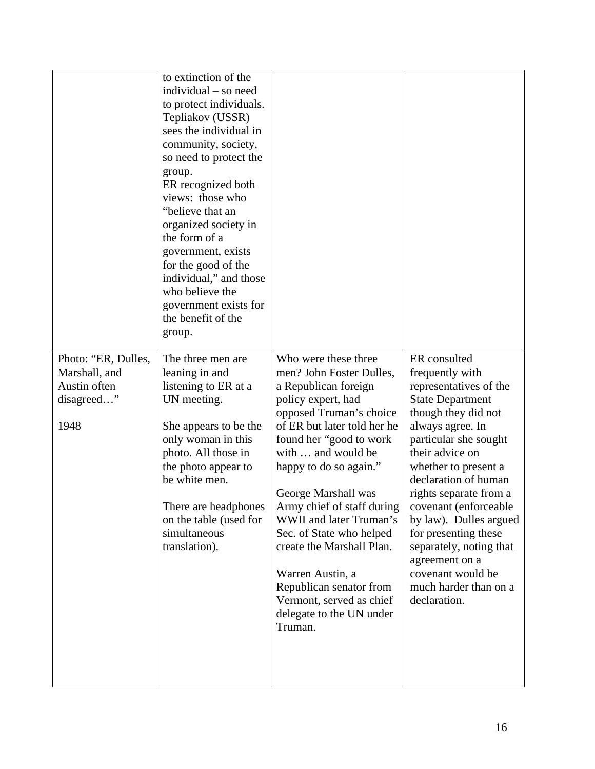|                                                                            | to extinction of the<br>individual – so need<br>to protect individuals.<br>Tepliakov (USSR)<br>sees the individual in<br>community, society,<br>so need to protect the<br>group.<br>ER recognized both<br>views: those who<br>"believe that an<br>organized society in<br>the form of a<br>government, exists<br>for the good of the<br>individual," and those<br>who believe the<br>government exists for<br>the benefit of the<br>group. |                                                                                                                                                                                                                                                                                                                                                                                                                                                                                                 |                                                                                                                                                                                                                                                                                                                                                                                                                                              |
|----------------------------------------------------------------------------|--------------------------------------------------------------------------------------------------------------------------------------------------------------------------------------------------------------------------------------------------------------------------------------------------------------------------------------------------------------------------------------------------------------------------------------------|-------------------------------------------------------------------------------------------------------------------------------------------------------------------------------------------------------------------------------------------------------------------------------------------------------------------------------------------------------------------------------------------------------------------------------------------------------------------------------------------------|----------------------------------------------------------------------------------------------------------------------------------------------------------------------------------------------------------------------------------------------------------------------------------------------------------------------------------------------------------------------------------------------------------------------------------------------|
| Photo: "ER, Dulles,<br>Marshall, and<br>Austin often<br>disagreed"<br>1948 | The three men are<br>leaning in and<br>listening to ER at a<br>UN meeting.<br>She appears to be the<br>only woman in this<br>photo. All those in<br>the photo appear to<br>be white men.<br>There are headphones<br>on the table (used for<br>simultaneous<br>translation).                                                                                                                                                                | Who were these three<br>men? John Foster Dulles,<br>a Republican foreign<br>policy expert, had<br>opposed Truman's choice<br>of ER but later told her he<br>found her "good to work"<br>with  and would be<br>happy to do so again."<br>George Marshall was<br>Army chief of staff during<br>WWII and later Truman's<br>Sec. of State who helped<br>create the Marshall Plan.<br>Warren Austin, a<br>Republican senator from<br>Vermont, served as chief<br>delegate to the UN under<br>Truman. | ER consulted<br>frequently with<br>representatives of the<br><b>State Department</b><br>though they did not<br>always agree. In<br>particular she sought<br>their advice on<br>whether to present a<br>declaration of human<br>rights separate from a<br>covenant (enforceable)<br>by law). Dulles argued<br>for presenting these<br>separately, noting that<br>agreement on a<br>covenant would be<br>much harder than on a<br>declaration. |